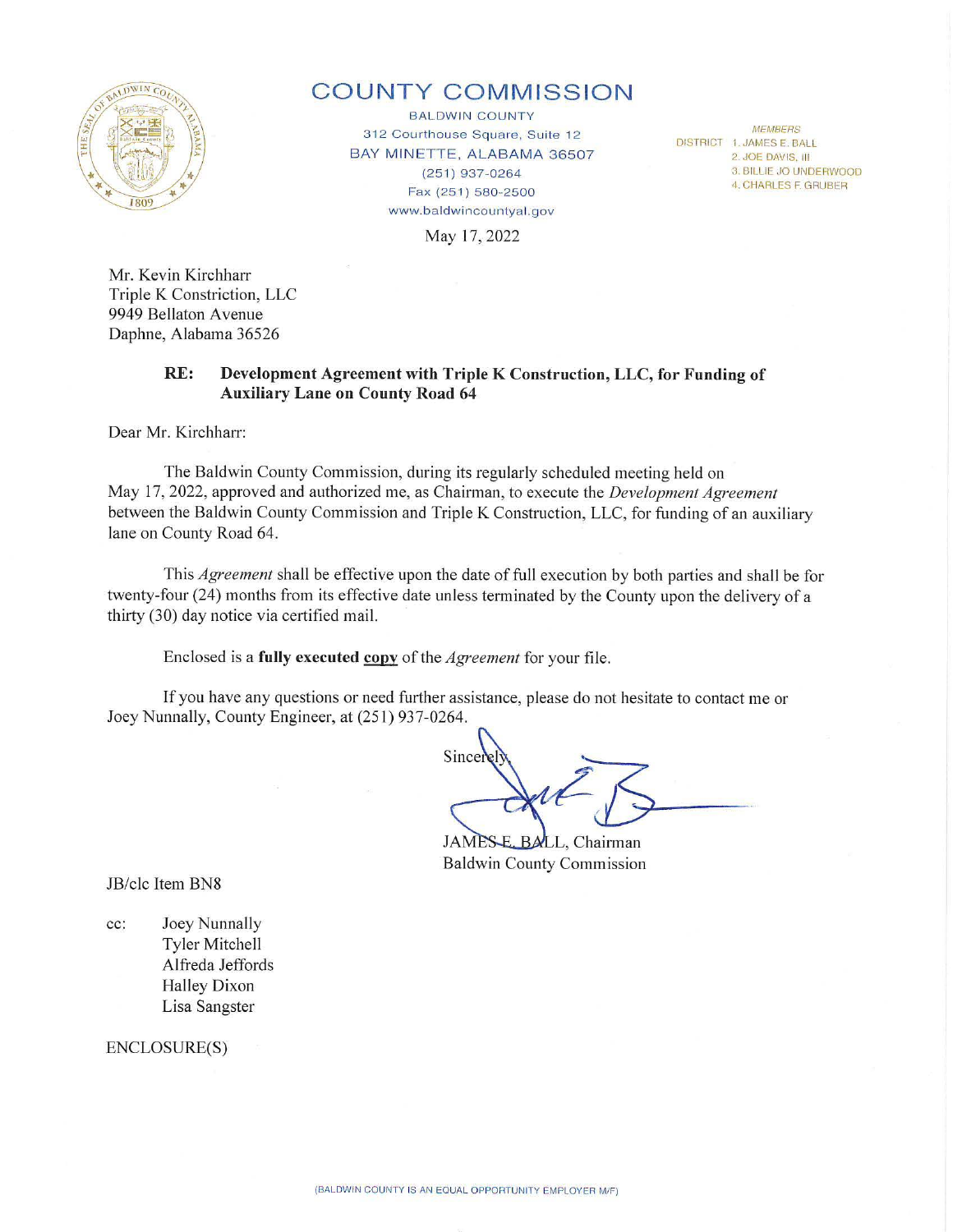

## **COUNTY COMMISSION**

BALDWIN COUNTY 312 Courthouse Square, Suite 12 BAY MINETTE, ALABAMA 36507 (251) 937-0264 Fax (251) 580-2500 www.baldwincountyal.gov

*MEMBERS*  DISTRICT 1. JAMES E. BALL 2. JOE DAVIS. Ill 3. BILLIE JO UNDERWOOD 4. CHARLES F. GRUBER

May 17, 2022

Mr. Kevin Kirchharr Triple K Constriction, LLC 9949 Bellaton Avenue Daphne, Alabama 36526

## **RE: Development Agreement with Triple K Construction, LLC, for Funding of Auxiliary Lane on County Road 64**

Dear Mr. Kirchharr:

The Baldwin County Commission, during its regularly scheduled meeting held on May 17, 2022, approved and authorized me, as Chairman, to execute the *Development Agreement* between the Baldwin County Commission and Triple K Construction, LLC, for funding of an auxiliary lane on County Road 64.

This *Agreement* shall be effective upon the date of full execution by both parties and shall be for twenty-four (24) months from its effective date unless terminated by the County upon the delivery of a thirty (30) day notice via certified mail.

Enclosed is a **fully executed copy** of the *Agreement* for your file.

If you have any questions or need further assistance, please do not hesitate to contact me or Joey Nunnally, County Engineer, at (251) 937-0264.

Since

**JAMES** BALL, Chairman Baldwin County Commission

JB/clc Item BN8

cc: Joey Nunnally Tyler Mitchell Alfreda Jeffords Halley Dixon Lisa Sangster

ENCLOSURE(S)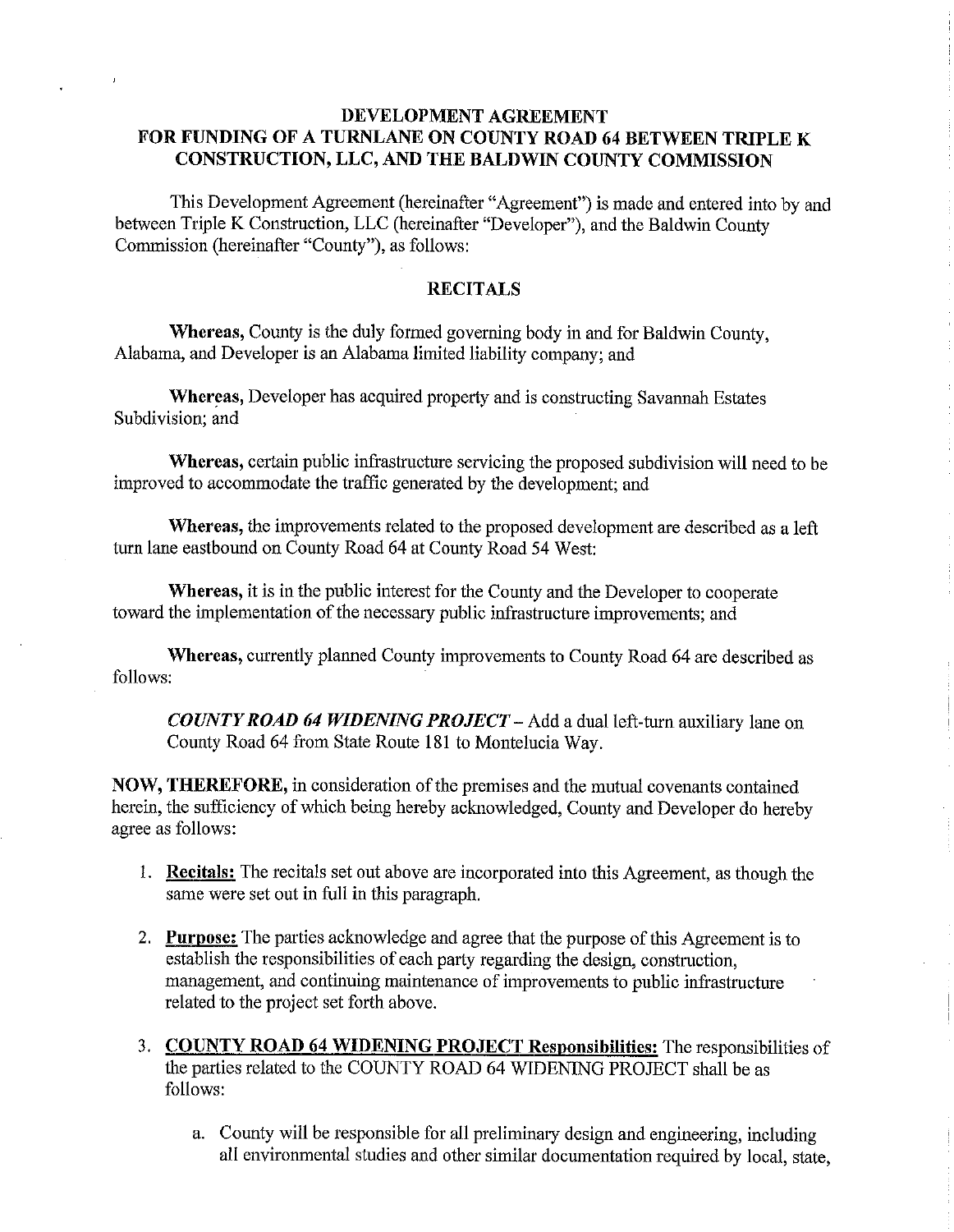## **DEVELOPMENT AGREEMENT FOR FUNDING OF A TURNLANE ON COUNTY ROAD 64 BETWEEN TRIPLE K CONSTRUCTION, LLC, AND THE BALDWIN COUNTY COMMISSION**

This Development Agreement (hereinafter "Agreement") is made and entered into by and between Triple **K** Construction, LLC (hereinafter "Developer"), and the Baldwin County Commission (hereinafter "County"), as follows:

## **RECITALS**

**Whereas,** County is the duly formed governing body in and for Baldwin County, Alabama, and Developer is an Alabama limited liability company; and

**Whereas,** Developer has acquired property and is constructing Savannah Estates Subdivision; and

**Whereas,** certain public infrastructure servicing the proposed subdivision will need to be improved to accommodate the traffic generated by the development; and

**Whereas,** the improvements related to the proposed development are described as a left turn lane eastbound on County Road 64 at County Road 54 West:

**Whereas,** it is in the public interest for the County and the Developer to cooperate toward the implementation of the necessary public infrastructure improvements; and

**Whereas,** currently planned County improvements to County Road 64 are described as follows:

*COUNTY ROAD 64 WIDENING PROJECT-* Add a dual left-turn auxiliary lane on County Road 64 from State Route 181 to Montelucia Way.

**NOW, THEREFORE,** in consideration of the premises and the mutual covenants contained herein, the sufficiency of which being hereby acknowledged, County and Developer do hereby agree as follows:

- I. **Recitals:** The recitals set out above are incorporated into this Agreement, as though the same were set out in full in this paragraph.
- 2. **Purpose:** The parties acknowledge and agree that the purpose of this Agreement is to establish the responsibilities of each party regarding the design, construction, management, and continuing maintenance of improvements to public infrastructure related to the project set forth above.
- 3. **COUNTY ROAD 64 WIDENING PROJECT Responsibilities:** The responsibilities of the parties related to the COUNTY ROAD 64 WIDENING PROJECT shall be as follows:
	- a. County will be responsible for all preliminary design and engineering, including all environmental studies and other similar documentation required by local, state,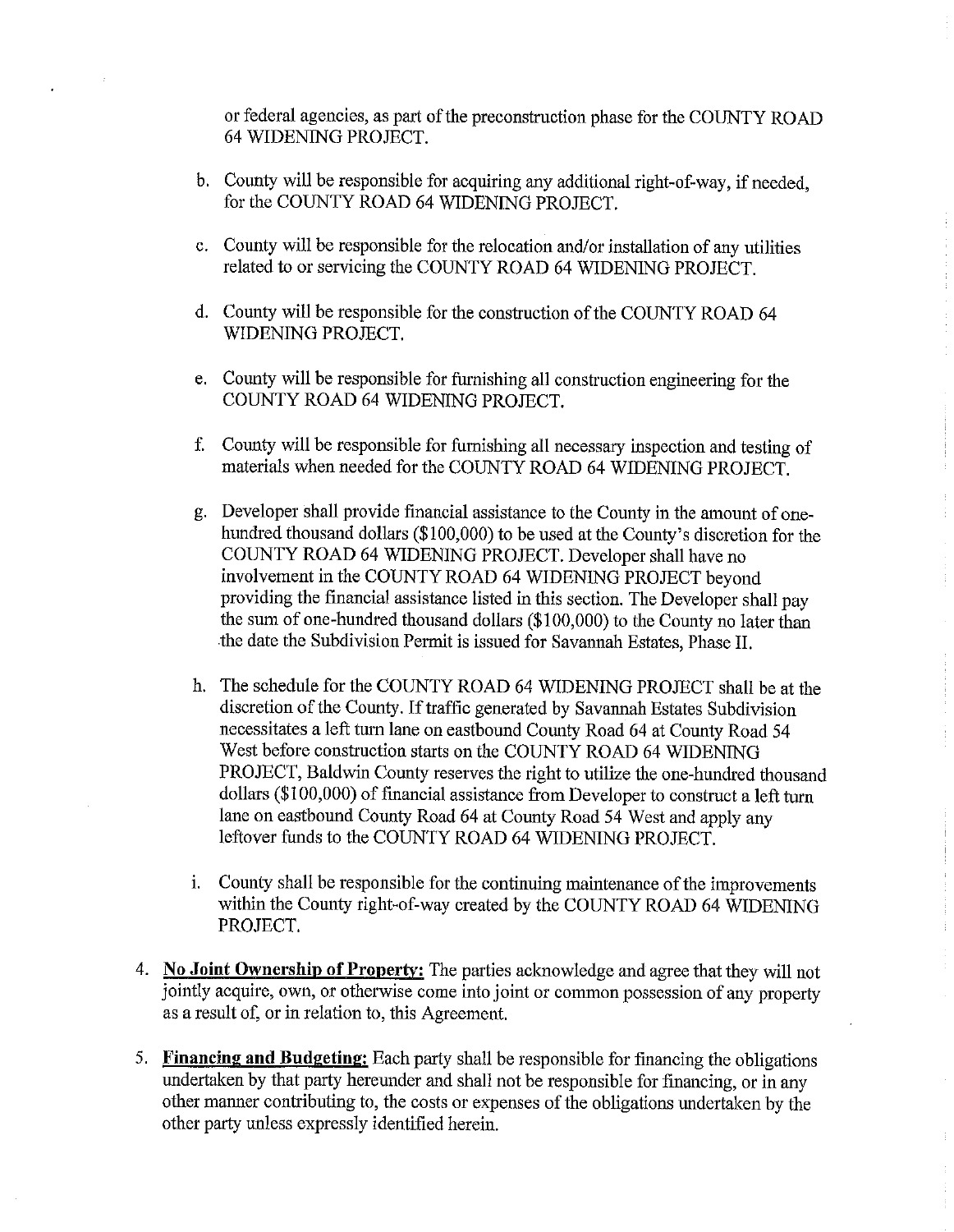or federal agencies, as part of the preconstruction phase for the COUNTY ROAD 64 WIDENING PROJECT.

- b. County will be responsible for acquiring any additional right-of-way, if needed, for the COUNTY ROAD 64 WIDENING PROJECT.
- c. County will be responsible for the relocation and/or installation of any utilities related to or servicing the COUNTY ROAD 64 WIDENING PROJECT.
- d. County will be responsible for the construction of the COUNTY ROAD 64 WIDENING PROJECT.
- e. County will be responsible for furnishing all construction engineering for the COUNTY ROAD 64 WIDENING PROJECT.
- f. County will be responsible for furnishing all necessary inspection and testing of materials when needed for the COUNTY ROAD 64 WIDENING PROJECT.
- g. Developer shall provide financial assistance to the County in the amount of onehundred thousand dollars (\$100,000) to be used at the County's discretion for the COUNTY ROAD 64 WIDENING PROJECT. Developer shall have no involvement in the COUNTY ROAD 64 WIDENING PROJECT beyond providing the financial assistance listed in this section. The Developer shall pay the sum of one-hundred thousand dollars (\$100,000) to the County no later than the date the Subdivision Permit is issued for Savannah Estates, Phase II.
- h. The schedule for the COUNTY ROAD 64 WIDENING PROJECT shall be at the discretion of the County. If traffic generated by Savannah Estates Subdivision necessitates a left turn lane on eastbound County Road 64 at County Road 54 West before construction starts on the COUNTY ROAD 64 WIDENING PROJECT, Baldwin County reserves the right to utilize the one-hundred thousand dollars (\$100,000) of financial assistance from Developer to construct a left turn lane on eastbound County Road 64 at County Road 54 West and apply any leftover funds to the COUNTY ROAD 64 WIDENING PROJECT.
- 1. County shall be responsible for the continuing maintenance of the improvements within the County right-of-way created by the COUNTY ROAD 64 WIDENING PROJECT.
- 4. **No Joint Ownership of Property:** The parties acknowledge and agree that they will not jointly acquire, own, or otherwise come into joint or common possession of any property as a result of, or in relation to, this Agreement.
- 5. **Financing and Budgeting:** Each party shall be responsible for financing the obligations undertaken by that party hereunder and shall not be responsible for financing, or in any other manner contributing to, the costs or expenses of the obligations undertaken by the other party unless expressly identified herein.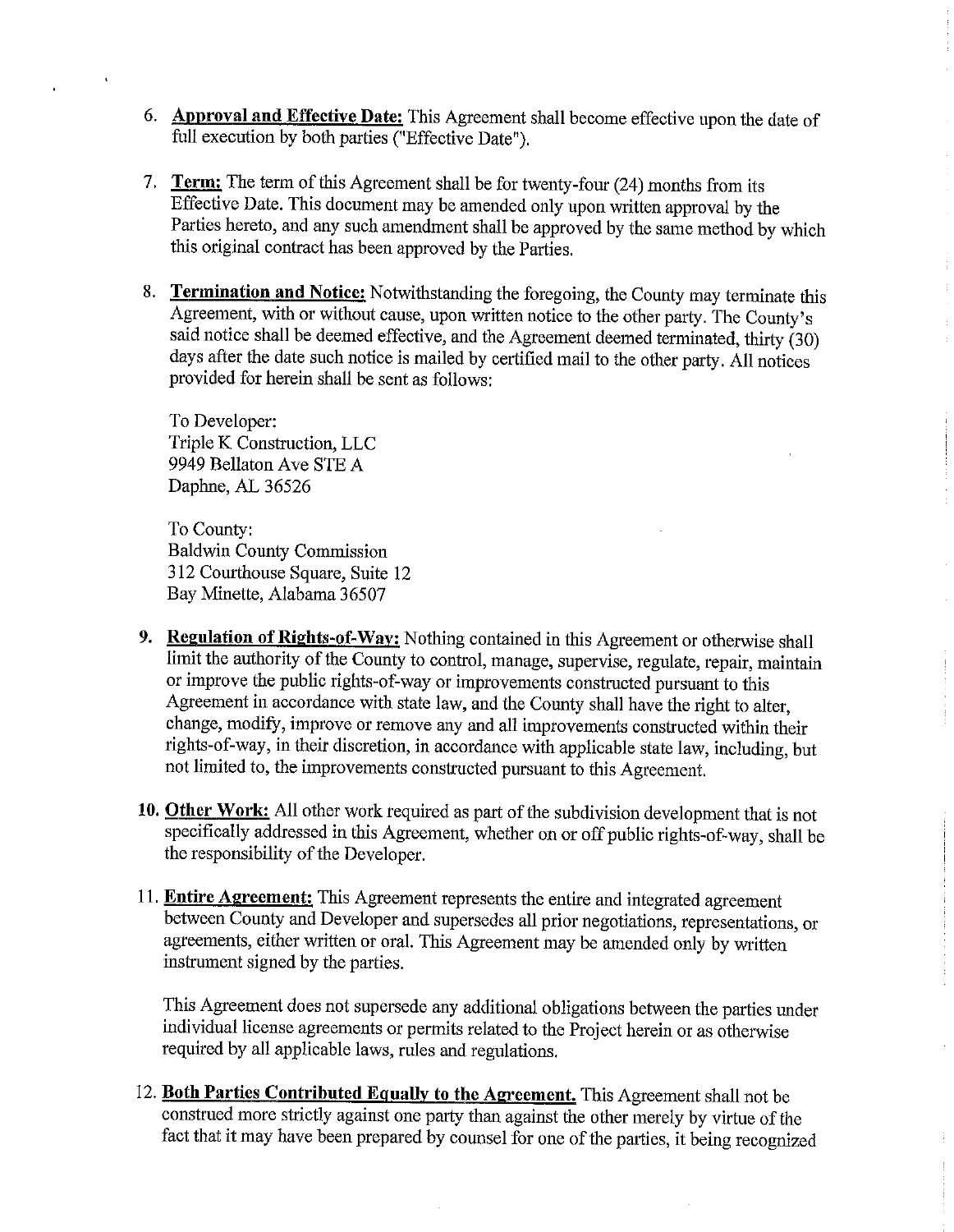- 6. **Approval and Effective Date:** This Agreement shall become effective upon the date of full execution by both parties ("Effective Date").
- 7. **Term:** The term of this Agreement shall be for twenty-four (24) months from its Effective Date. This document may be amended only upon written approval by the Parties hereto, and any such amendment shall be approved by the same method by which this original contract has been approved by the Parties.
- 8. **Termination and Notice:** Notwithstanding the foregoing, the County may terminate this Agreement, with or without cause, upon written notice to the other party. The County's said notice shall be deemed effective, and the Agreement deemed terminated, thirty  $(30)$ days after the date such notice is mailed by certified mail to the other party. All notices provided for herein shall be sent as follows:

To Developer: Triple K Construction, LLC 9949 Bellaton Ave STE A Daphne, AL 36526

To County: Baldwin County Commission 312 Courthouse Square, Suite 12 Bay Minette, Alabama 36507

- **9. Regulation of Rights-of-Way:** Nothing contained in this Agreement or otherwise shall limit the authority of the County to control, manage, supervise, regulate, repair, maintain or improve the public rights-of-way or improvements constructed pursuant to this Agreement in accordance with state law, and the County shall have the right to alter, change, modify, improve or remove any and all improvements constructed within their rights-of-way, in their discretion, in accordance with applicable state law, including, but not limited to, the improvements constructed pursuant to this Agreement.
- **10. Other Work:** All other work required as part of the subdivision development that is not specifically addressed in this Agreement, whether on or off public rights-of-way, shall be the responsibility of the Developer.
- 11. **Entire Agreement:** This Agreement represents the entire and integrated agreement between County and Developer and supersedes all prior negotiations, representations, or agreements, either written or oral. This Agreement may be amended only by written instrument signed by the parties.

This Agreement does not supersede any additional obligations between the parties under individual license agreements or permits related to the Project herein or as otherwise required by all applicable laws, rules and regulations.

12. **Both Parties Contributed Equally to the Agreement.** This Agreement shall not be construed more strictly against one party than against the other merely by virtue of the fact that it may have been prepared by counsel for one of the parties, it being recognized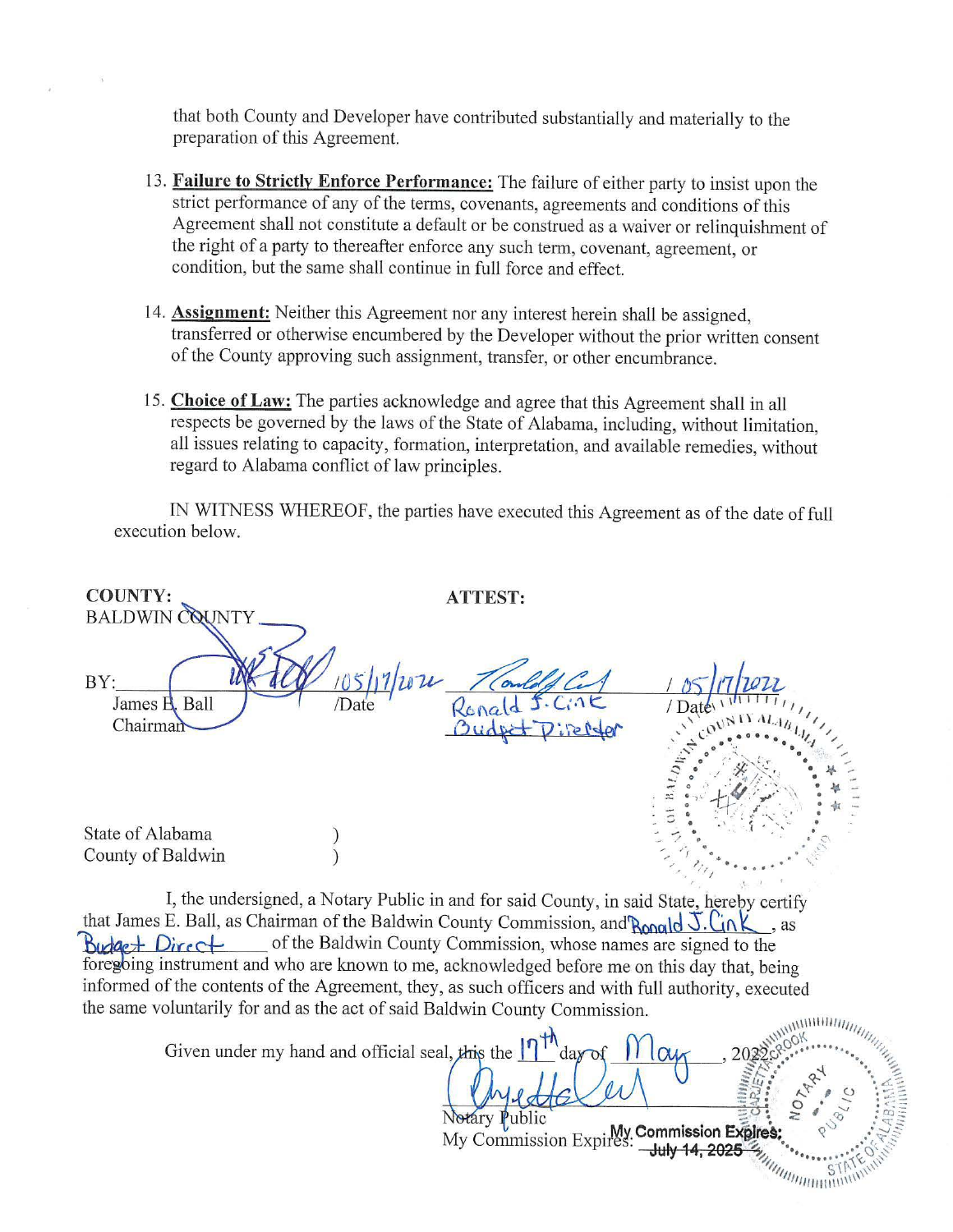that both County and Developer have contributed substantially and materially to the preparation of this Agreement.

- 13. Failure to Strictly Enforce Performance: The failure of either party to insist upon the strict performance of any of the terms, covenants, agreements and conditions of this Agreement shall not constitute a default or be construed as a waiver or relinquishment of the right of a party to thereafter enforce any such term, covenant, agreement, or condition, but the same shall continue in full force and effect.
- 14. **Assignment:** Neither this Agreement nor any interest herein shall be assigned, transferred or otherwise encumbered by the Developer without the prior written consent of the County approving such assignment, transfer, or other encumbrance.
- 15. **Choice of Law:** The parties acknowledge and agree that this Agreement shall in all respects be governed by the laws of the State of Alabama, including, without limitation, all issues relating to capacity, formation, interpretation, and available remedies, without regard to Alabama conflict of law principles.

IN WITNESS WHEREOF, the parties have executed this Agreement as of the date of full execution below.

| <b>COUNTY:</b><br><b>BALDWIN</b>                                                                                     | <b>ATTEST:</b>                                                                                                                                                                                                                                                                                                                                                                    |
|----------------------------------------------------------------------------------------------------------------------|-----------------------------------------------------------------------------------------------------------------------------------------------------------------------------------------------------------------------------------------------------------------------------------------------------------------------------------------------------------------------------------|
| BY:<br>James B. Ball<br>/Date<br>Chairman                                                                            |                                                                                                                                                                                                                                                                                                                                                                                   |
| State of Alabama<br>County of Baldwin                                                                                |                                                                                                                                                                                                                                                                                                                                                                                   |
| that James E. Ball, as Chairman of the Baldwin County Commission, and Ronald $\overline{J}$ . Lin K<br>Budget Direct | I, the undersigned, a Notary Public in and for said County, in said State, hereby certify<br>$\cdot$ as<br>of the Baldwin County Commission, whose names are signed to the<br>foregoing instrument and who are known to me, acknowledged before me on this day that, being<br>informed of the contents of the Agreement, they, as such officers and with full authority, executed |

| the same voluntarily for and as the act of said Baldwin County Commission. |                                            |  |
|----------------------------------------------------------------------------|--------------------------------------------|--|
|                                                                            |                                            |  |
| Given under my hand and official seal, this the $\int_{0}^{\pi}$ day of    |                                            |  |
|                                                                            |                                            |  |
|                                                                            | Notary Public                              |  |
|                                                                            | My Commission Expires: Commission Expires: |  |
|                                                                            |                                            |  |